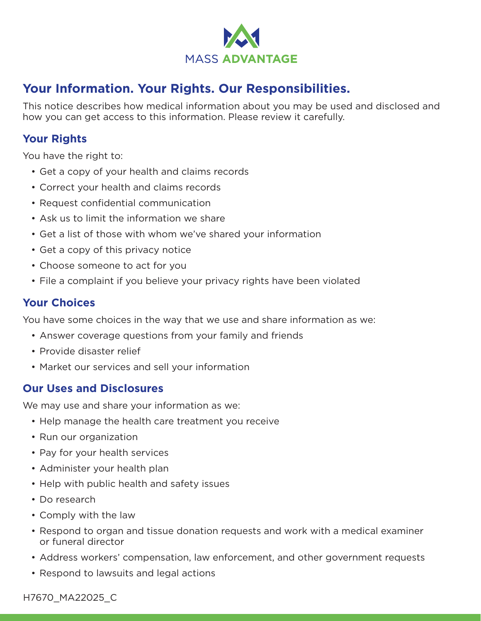

# **Your Information. Your Rights. Our Responsibilities.**

This notice describes how medical information about you may be used and disclosed and how you can get access to this information. Please review it carefully.

## **Your Rights**

You have the right to:

- Get a copy of your health and claims records
- Correct your health and claims records
- Request confidential communication
- Ask us to limit the information we share
- Get a list of those with whom we've shared your information
- Get a copy of this privacy notice
- Choose someone to act for you
- File a complaint if you believe your privacy rights have been violated

### **Your Choices**

You have some choices in the way that we use and share information as we:

- Answer coverage questions from your family and friends
- Provide disaster relief
- Market our services and sell your information

## **Our Uses and Disclosures**

We may use and share your information as we:

- Help manage the health care treatment you receive
- Run our organization
- Pay for your health services
- Administer your health plan
- Help with public health and safety issues
- Do research
- Comply with the law
- Respond to organ and tissue donation requests and work with a medical examiner or funeral director
- Address workers' compensation, law enforcement, and other government requests
- Respond to lawsuits and legal actions

### H7670\_MA22025\_C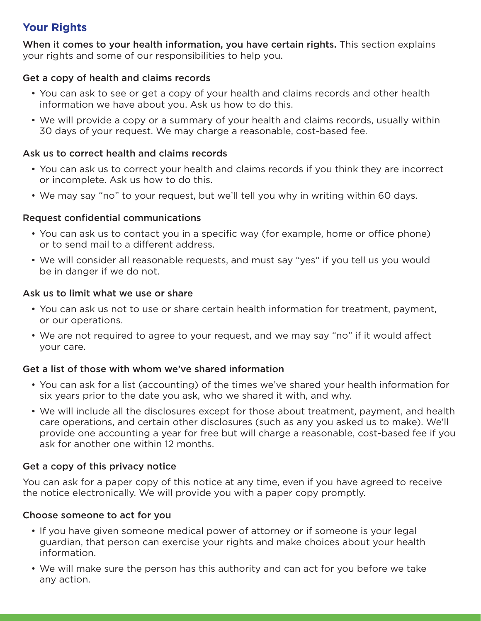## **Your Rights**

When it comes to your health information, you have certain rights. This section explains your rights and some of our responsibilities to help you.

### Get a copy of health and claims records

- You can ask to see or get a copy of your health and claims records and other health information we have about you. Ask us how to do this.
- We will provide a copy or a summary of your health and claims records, usually within 30 days of your request. We may charge a reasonable, cost-based fee.

#### Ask us to correct health and claims records

- You can ask us to correct your health and claims records if you think they are incorrect or incomplete. Ask us how to do this.
- We may say "no" to your request, but we'll tell you why in writing within 60 days.

#### Request confidential communications

- You can ask us to contact you in a specific way (for example, home or office phone) or to send mail to a different address.
- We will consider all reasonable requests, and must say "yes" if you tell us you would be in danger if we do not.

#### Ask us to limit what we use or share

- You can ask us not to use or share certain health information for treatment, payment, or our operations.
- We are not required to agree to your request, and we may say "no" if it would affect your care.

### Get a list of those with whom we've shared information

- You can ask for a list (accounting) of the times we've shared your health information for six years prior to the date you ask, who we shared it with, and why.
- We will include all the disclosures except for those about treatment, payment, and health care operations, and certain other disclosures (such as any you asked us to make). We'll provide one accounting a year for free but will charge a reasonable, cost-based fee if you ask for another one within 12 months.

### Get a copy of this privacy notice

You can ask for a paper copy of this notice at any time, even if you have agreed to receive the notice electronically. We will provide you with a paper copy promptly.

#### Choose someone to act for you

- If you have given someone medical power of attorney or if someone is your legal guardian, that person can exercise your rights and make choices about your health information.
- We will make sure the person has this authority and can act for you before we take any action.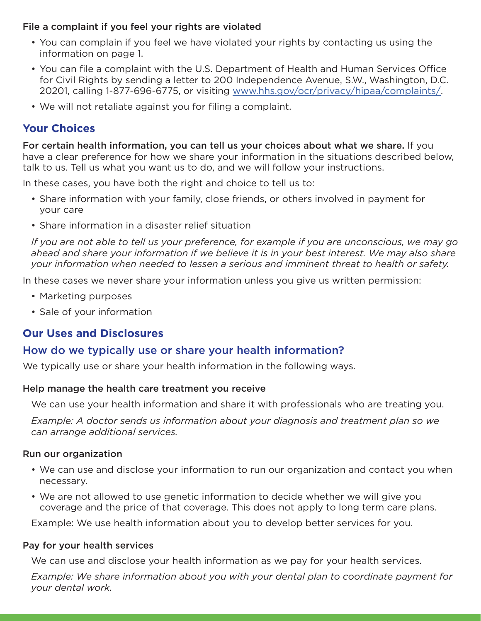### File a complaint if you feel your rights are violated

- You can complain if you feel we have violated your rights by contacting us using the information on page 1.
- You can file a complaint with the U.S. Department of Health and Human Services Office for Civil Rights by sending a letter to 200 Independence Avenue, S.W., Washington, D.C. 20201, calling 1-877-696-6775, or visiting www.hhs.gov/ocr/privacy/hipaa/complaints/.
- We will not retaliate against you for filing a complaint.

## **Your Choices**

For certain health information, you can tell us your choices about what we share. If you have a clear preference for how we share your information in the situations described below, talk to us. Tell us what you want us to do, and we will follow your instructions.

In these cases, you have both the right and choice to tell us to:

- Share information with your family, close friends, or others involved in payment for your care
- Share information in a disaster relief situation

 *If you are not able to tell us your preference, for example if you are unconscious, we may go ahead and share your information if we believe it is in your best interest. We may also share your information when needed to lessen a serious and imminent threat to health or safety.*

In these cases we never share your information unless you give us written permission:

- Marketing purposes
- Sale of your information

## **Our Uses and Disclosures**

## How do we typically use or share your health information?

We typically use or share your health information in the following ways.

### Help manage the health care treatment you receive

We can use your health information and share it with professionals who are treating you.

 *Example: A doctor sends us information about your diagnosis and treatment plan so we can arrange additional services.*

### Run our organization

- We can use and disclose your information to run our organization and contact you when necessary.
- We are not allowed to use genetic information to decide whether we will give you coverage and the price of that coverage. This does not apply to long term care plans.

Example: We use health information about you to develop better services for you.

### Pay for your health services

We can use and disclose your health information as we pay for your health services.

 *Example: We share information about you with your dental plan to coordinate payment for your dental work.*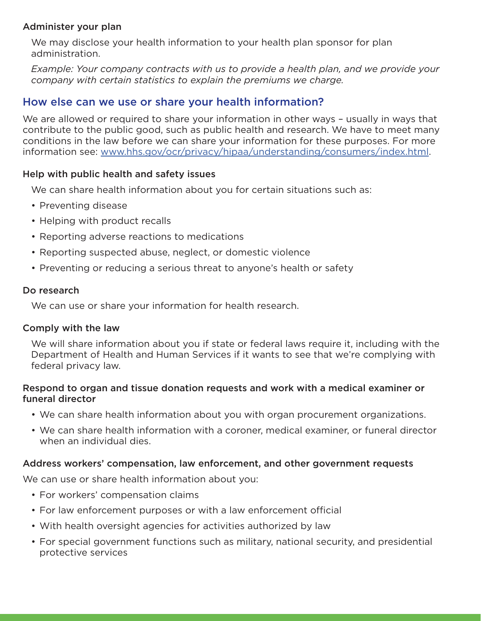#### Administer your plan

 We may disclose your health information to your health plan sponsor for plan administration.

 *Example: Your company contracts with us to provide a health plan, and we provide your company with certain statistics to explain the premiums we charge.*

## How else can we use or share your health information?

We are allowed or required to share your information in other ways – usually in ways that contribute to the public good, such as public health and research. We have to meet many conditions in the law before we can share your information for these purposes. For more information see: www.hhs.gov/ocr/privacy/hipaa/understanding/consumers/index.html.

### Help with public health and safety issues

We can share health information about you for certain situations such as:

- Preventing disease
- Helping with product recalls
- Reporting adverse reactions to medications
- Reporting suspected abuse, neglect, or domestic violence
- Preventing or reducing a serious threat to anyone's health or safety

#### Do research

We can use or share your information for health research.

#### Comply with the law

 We will share information about you if state or federal laws require it, including with the Department of Health and Human Services if it wants to see that we're complying with federal privacy law.

#### Respond to organ and tissue donation requests and work with a medical examiner or funeral director

- We can share health information about you with organ procurement organizations.
- We can share health information with a coroner, medical examiner, or funeral director when an individual dies.

### Address workers' compensation, law enforcement, and other government requests

We can use or share health information about you:

- For workers' compensation claims
- For law enforcement purposes or with a law enforcement official
- With health oversight agencies for activities authorized by law
- For special government functions such as military, national security, and presidential protective services